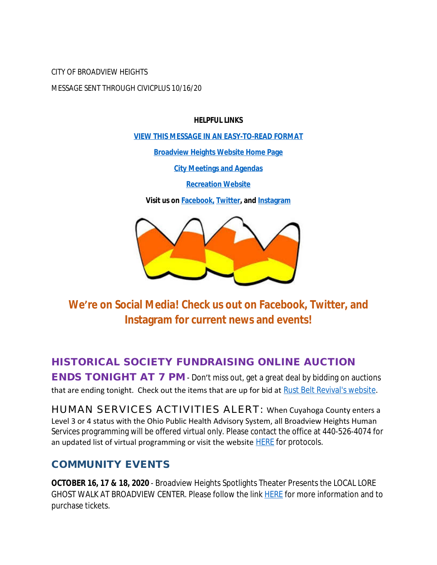CITY OF BROADVIEW HEIGHTS MESSAGE SENT THROUGH CIVICPLUS 10/16/20

#### **HELPFUL LINKS**

**[VIEW THIS MESSAGE IN AN EASY-TO-READ FORMAT](https://www.broadview-heights.org/Archive.aspx?AMID=37)**

**[Broadview Heights Website Home Page](https://www.broadview-heights.org/)**

**[City Meetings and Agendas](https://www.broadview-heights.org/CivicAlerts.aspx?AID=175)**

**[Recreation Website](https://broadview-heights.org/292/Parks-Recreation)**

**Visit us on [Facebook,](https://www.facebook.com/broadviewhts/) [Twitter,](https://twitter.com/broadviewhts) and [Instagram](https://www.instagram.com/cityofbroadviewheights/)**



**We're on Social Media! Check us out on Facebook, Twitter, and Instagram for current news and events!**

# **HISTORICAL SOCIETY FUNDRAISING ONLINE AUCTION**

**ENDS TONIGHT AT 7 PM** - Don't miss out, get a great deal by bidding on auctions that are ending tonight. Check out the items that are up for bid at [Rust Belt Revival's website.](https://www.bidrustbelt.com/)

HUMAN SERVICES ACTIVITIES ALERT: When Cuyahoga County enters a Level 3 or 4 status with the Ohio Public Health Advisory System, all Broadview Heights Human Services programming will be offered virtual only. Please contact the office at 440-526-4074 for an updated list of virtual programming or visit the website  $HERE$  for protocols.

### **COMMUNITY EVENTS**

**OCTOBER 16, 17 & 18, 2020** - Broadview Heights Spotlights Theater Presents the LOCAL LORE GHOST WALK AT BROADVIEW CENTER. Please follow the link **[HERE](https://www.broadview-heights.org/Calendar.aspx?EID=3339)** for more information and to purchase tickets.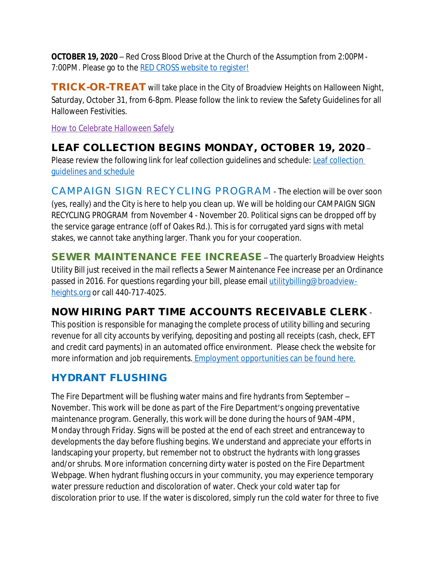**OCTOBER 19, 2020** – Red Cross Blood Drive at the Church of the Assumption from 2:00PM-7:00PM. Please go to the [RED CROSS website to register!](https://www.redcrossblood.org/give.html/donation-time)

**TRICK-OR-TREAT** will take place in the City of Broadview Heights on Halloween Night, Saturday, October 31, from 6-8pm. Please follow the link to review the Safety Guidelines for all Halloween Festivities.

[How to Celebrate Halloween Safely](https://broadview-heights.org/CivicAlerts.aspx?AID=188)

# **LEAF COLLECTION BEGINS MONDAY, OCTOBER 19, 2020** –

Please review the following link for leaf collection guidelines and schedule: Leaf collection guidelines and schedule

CAMPAIGN SIGN RECYCLING PROGRAM - The election will be over soon (yes, really) and the City is here to help you clean up. We will be holding our CAMPAIGN SIGN RECYCLING PROGRAM from November 4 - November 20. Political signs can be dropped off by the service garage entrance (off of Oakes Rd.). This is for corrugated yard signs with metal stakes, we cannot take anything larger. Thank you for your cooperation.

**SEWER MAINTENANCE FEE INCREASE** – The quarterly Broadview Heights Utility Bill just received in the mail reflects a Sewer Maintenance Fee increase per an Ordinance passed in 2016. For questions regarding your bill, please email utility billing@broadviewheights.org or call 440-717-4025.

# **NOW HIRING PART TIME ACCOUNTS RECEIVABLE CLERK** -

This position is responsible for managing the complete process of utility billing and securing revenue for all city accounts by verifying, depositing and posting all receipts (cash, check, EFT and credit card payments) in an automated office environment. Please check the website for more information and job requirements[. Employment opportunities can be found here.](https://broadview-heights.org/jobs.aspx)

# **HYDRANT FLUSHING**

The Fire Department will be flushing water mains and fire hydrants from September – November. This work will be done as part of the Fire Department's ongoing preventative maintenance program. Generally, this work will be done during the hours of 9AM-4PM, Monday through Friday. Signs will be posted at the end of each street and entranceway to developments the day before flushing begins. We understand and appreciate your efforts in landscaping your property, but remember not to obstruct the hydrants with long grasses and/or shrubs. More information concerning dirty water is posted on the Fire Department Webpage. When hydrant flushing occurs in your community, you may experience temporary water pressure reduction and discoloration of water. Check your cold water tap for discoloration prior to use. If the water is discolored, simply run the cold water for three to five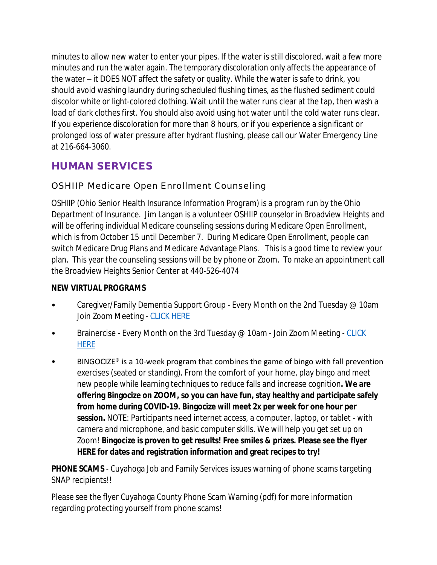minutes to allow new water to enter your pipes. If the water is still discolored, wait a few more minutes and run the water again. The temporary discoloration only affects the appearance of the water – it DOES NOT affect the safety or quality. While the water is safe to drink, you should avoid washing laundry during scheduled flushing times, as the flushed sediment could discolor white or light-colored clothing. Wait until the water runs clear at the tap, then wash a load of dark clothes first. You should also avoid using hot water until the cold water runs clear. If you experience discoloration for more than 8 hours, or if you experience a significant or prolonged loss of water pressure after hydrant flushing, please call our Water Emergency Line at 216-664-3060.

## **HUMAN SERVICES**

### OSHIIP Medicare Open Enrollment Counseling

OSHIIP (Ohio Senior Health Insurance Information Program) is a program run by the Ohio Department of Insurance. Jim Langan is a volunteer OSHIIP counselor in Broadview Heights and will be offering individual Medicare counseling sessions during Medicare Open Enrollment, which is from October 15 until December 7. During Medicare Open Enrollment, people can switch Medicare Drug Plans and Medicare Advantage Plans. This is a good time to review your plan. This year the counseling sessions will be by phone or Zoom. To make an appointment call the Broadview Heights Senior Center at 440-526-4074

### **NEW VIRTUAL PROGRAMS**

- Caregiver/Family Dementia Support Group Every Month on the 2nd Tuesday @ 10am Join Zoom Meeting - [CLICK HERE](https://us02web.zoom.us/j/83291898347?pwd=YjVDR1IwKytTVUxqMnFBSEZJL2x2QT09#success)
- Brainercise Every Month on the 3rd Tuesday @ 10am Join Zoom Meeting CLICK HERE
- BINGOCIZE<sup>®</sup> is a 10-week program that combines the game of bingo with fall prevention exercises (seated or standing). From the comfort of your home, play bingo and meet new people while learning techniques to reduce falls and increase cognition**. We are offering Bingocize on ZOOM, so you can have fun, stay healthy and participate safely from home during COVID-19. Bingocize will meet 2x per week for one hour per session.** NOTE: Participants need internet access, a computer, laptop, or tablet - with camera and microphone, and basic computer skills. We will help you get set up on Zoom! **Bingocize is proven to get results! Free smiles & prizes. Please see the flyer HERE for dates and registration information and great recipes to try!**

**PHONE SCAMS** - Cuyahoga Job and Family Services issues warning of phone scams targeting SNAP recipients!!

Please see the flyer Cuyahoga County Phone Scam Warning (pdf) for more information regarding protecting yourself from phone scams!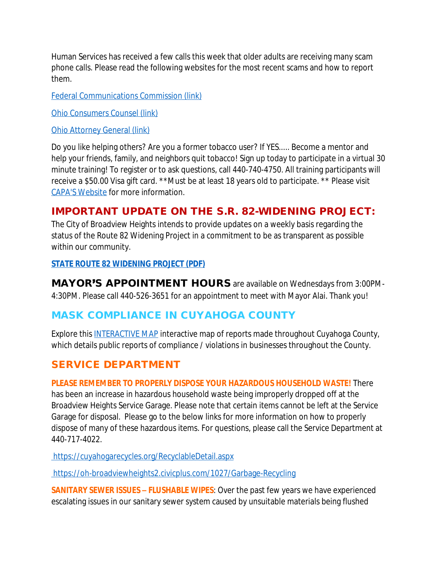Human Services has received a few calls this week that older adults are receiving many scam phone calls. Please read the following websites for the most recent scams and how to report them.

[Federal Communications Commission \(link\)](https://www.fcc.gov/covid-scams)

[Ohio Consumers Counsel \(link\)](http://www.occ.ohio.gov/content/protecting-consumers-unwanted-telemarketing-and-scams)

[Ohio Attorney General \(link\)](https://www.ohioattorneygeneral.gov/About-AG/Contact/Report-A-Scam)

Do you like helping others? Are you a former tobacco user? If YES..... Become a mentor and help your friends, family, and neighbors quit tobacco! Sign up today to participate in a virtual 30 minute training! To register or to ask questions, call 440-740-4750. All training participants will receive a \$50.00 Visa gift card. \*\*Must be at least 18 years old to participate. \*\* Please visit [CAPA'S Website](https://www.bbhcapa.org/) for more information.

### **IMPORTANT UPDATE ON THE S.R. 82-WIDENING PROJECT:**

The City of Broadview Heights intends to provide updates on a weekly basis regarding the status of the Route 82 Widening Project in a commitment to be as transparent as possible within our community.

#### **[STATE ROUTE 82 WIDENING PROJECT \(PDF\)](https://www.broadview-heights.org/CivicAlerts.aspx?AID=193)**

**MAYOR**'**[S APPOINTMENT HOURS](https://www.broadview-heights.org/CivicAlerts.aspx?AID=193)** [are available on Wednesdays from 3:00PM-](https://www.broadview-heights.org/CivicAlerts.aspx?AID=193)[4:30PM. Please call 440-526-3651 for an appointment to meet with Mayor Alai. Thank you!](https://www.broadview-heights.org/CivicAlerts.aspx?AID=193)

### **[MASK COMPLIANCE IN CUYAHOGA COUNTY](https://www.broadview-heights.org/CivicAlerts.aspx?AID=193)**

[Explore this](https://www.broadview-heights.org/CivicAlerts.aspx?AID=193) [INTERACTIVE MAP](https://cuyahogacounty.us/masks) interactive map of reports made throughout Cuyahoga County, which details public reports of compliance / violations in businesses throughout the County.

## **SERVICE DEPARTMENT**

#### **PLEASE REMEMBER TO PROPERLY DISPOSE YOUR HAZARDOUS HOUSEHOLD WASTE!** There

has been an increase in hazardous household waste being improperly dropped off at the Broadview Heights Service Garage. Please note that certain items cannot be left at the Service Garage for disposal. Please go to the below links for more information on how to properly dispose of many of these hazardous items. For questions, please call the Service Department at 440-717-4022.

 [https://cuyahogarecycles.org/RecyclableDetail.aspx](%20https:/cuyahogarecycles.org/RecyclableDetail.aspx)

 [https://oh-broadviewheights2.civicplus.com/1027/Garbage-Recycling](%20https:/oh-broadviewheights2.civicplus.com/1027/Garbage-Recycling)

**SANITARY SEWER ISSUES – FLUSHABLE WIPES**: Over the past few years we have experienced escalating issues in our sanitary sewer system caused by unsuitable materials being flushed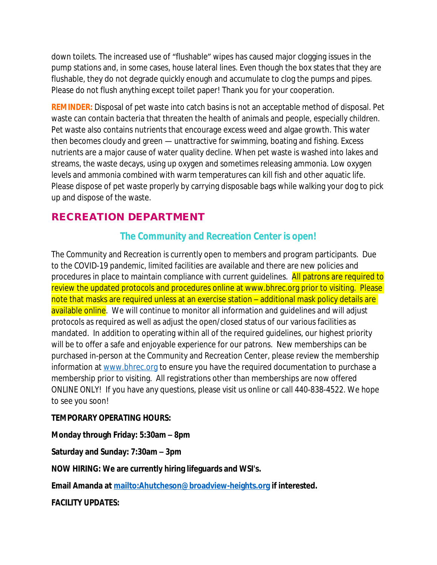down toilets. The increased use of "flushable" wipes has caused major clogging issues in the pump stations and, in some cases, house lateral lines. Even though the box states that they are flushable, they do not degrade quickly enough and accumulate to clog the pumps and pipes. Please do not flush anything except toilet paper! Thank you for your cooperation.

**REMINDER:** Disposal of pet waste into catch basins is not an acceptable method of disposal. Pet waste can contain bacteria that threaten the health of animals and people, especially children. Pet waste also contains nutrients that encourage excess weed and algae growth. This water then becomes cloudy and green — unattractive for swimming, boating and fishing. Excess nutrients are a major cause of water quality decline. When pet waste is washed into lakes and streams, the waste decays, using up oxygen and sometimes releasing ammonia. Low oxygen levels and ammonia combined with warm temperatures can kill fish and other aquatic life. Please dispose of pet waste properly by carrying disposable bags while walking your dog to pick up and dispose of the waste.

## **RECREATION DEPARTMENT**

### **The Community and Recreation Center is open!**

The Community and Recreation is currently open to members and program participants. Due to the COVID-19 pandemic, limited facilities are available and there are new policies and procedures in place to maintain compliance with current guidelines. All patrons are required to review the updated protocols and procedures online at www.bhrec.org prior to visiting. Please note that masks are required unless at an exercise station – additional mask policy details are available online. We will continue to monitor all information and quidelines and will adjust protocols as required as well as adjust the open/closed status of our various facilities as mandated. In addition to operating within all of the required guidelines, our highest priority will be to offer a safe and enjoyable experience for our patrons. New memberships can be purchased in-person at the Community and Recreation Center, please review the membership information at [www.bhrec.org](file:///\\\\bhchfp\\Mayorshare\\Messages%20from%20the%20Mayor\\www.bhrec.org%20) to ensure you have the required documentation to purchase a membership prior to visiting. All registrations other than memberships are now offered ONLINE ONLY! If you have any questions, please visit us online or call 440-838-4522. We hope to see you soon!

### **TEMPORARY OPERATING HOURS:**

**Monday through Friday: 5:30am – 8pm**

**Saturday and Sunday: 7:30am – 3pm**

**NOW HIRING: We are currently hiring lifeguards and WSI's.**

**Email Amanda at<mailto:Ahutcheson@broadview-heights.org> if interested.**

**FACILITY UPDATES:**